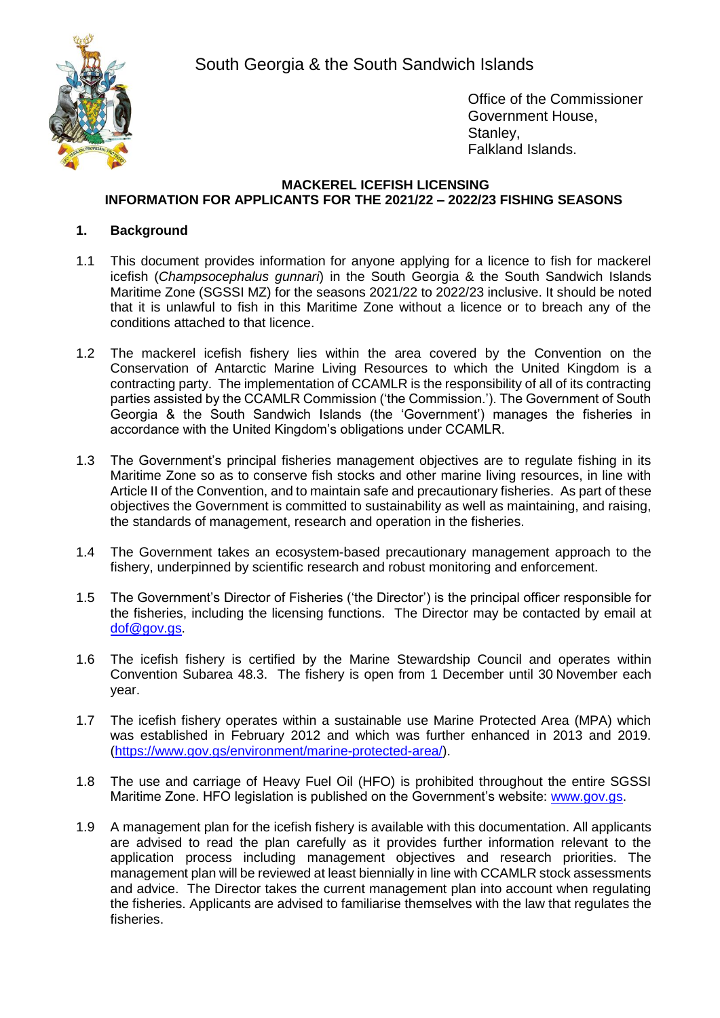South Georgia & the South Sandwich Islands



Office of the Commissioner Government House, Stanley, Falkland Islands.

## **MACKEREL ICEFISH LICENSING INFORMATION FOR APPLICANTS FOR THE 2021/22 – 2022/23 FISHING SEASONS**

# **1. Background**

- 1.1 This document provides information for anyone applying for a licence to fish for mackerel icefish (*Champsocephalus gunnari*) in the South Georgia & the South Sandwich Islands Maritime Zone (SGSSI MZ) for the seasons 2021/22 to 2022/23 inclusive. It should be noted that it is unlawful to fish in this Maritime Zone without a licence or to breach any of the conditions attached to that licence.
- 1.2 The mackerel icefish fishery lies within the area covered by the Convention on the Conservation of Antarctic Marine Living Resources to which the United Kingdom is a contracting party. The implementation of CCAMLR is the responsibility of all of its contracting parties assisted by the CCAMLR Commission ('the Commission.'). The Government of South Georgia & the South Sandwich Islands (the 'Government') manages the fisheries in accordance with the United Kingdom's obligations under CCAMLR.
- 1.3 The Government's principal fisheries management objectives are to regulate fishing in its Maritime Zone so as to conserve fish stocks and other marine living resources, in line with Article II of the Convention, and to maintain safe and precautionary fisheries. As part of these objectives the Government is committed to sustainability as well as maintaining, and raising, the standards of management, research and operation in the fisheries.
- 1.4 The Government takes an ecosystem-based precautionary management approach to the fishery, underpinned by scientific research and robust monitoring and enforcement.
- 1.5 The Government's Director of Fisheries ('the Director') is the principal officer responsible for the fisheries, including the licensing functions. The Director may be contacted by email at [dof@gov.gs.](mailto:dof@gov.gs)
- 1.6 The icefish fishery is certified by the Marine Stewardship Council and operates within Convention Subarea 48.3. The fishery is open from 1 December until 30 November each year.
- 1.7 The icefish fishery operates within a sustainable use Marine Protected Area (MPA) which was established in February 2012 and which was further enhanced in 2013 and 2019. [\(https://www.gov.gs/environment/marine-protected-area/\)](https://www.gov.gs/environment/marine-protected-area/).
- 1.8 The use and carriage of Heavy Fuel Oil (HFO) is prohibited throughout the entire SGSSI Maritime Zone. HFO legislation is published on the Government's website: [www.gov.gs.](http://www.gov.gs/)
- 1.9 A management plan for the icefish fishery is available with this documentation. All applicants are advised to read the plan carefully as it provides further information relevant to the application process including management objectives and research priorities. The management plan will be reviewed at least biennially in line with CCAMLR stock assessments and advice. The Director takes the current management plan into account when regulating the fisheries. Applicants are advised to familiarise themselves with the law that regulates the fisheries.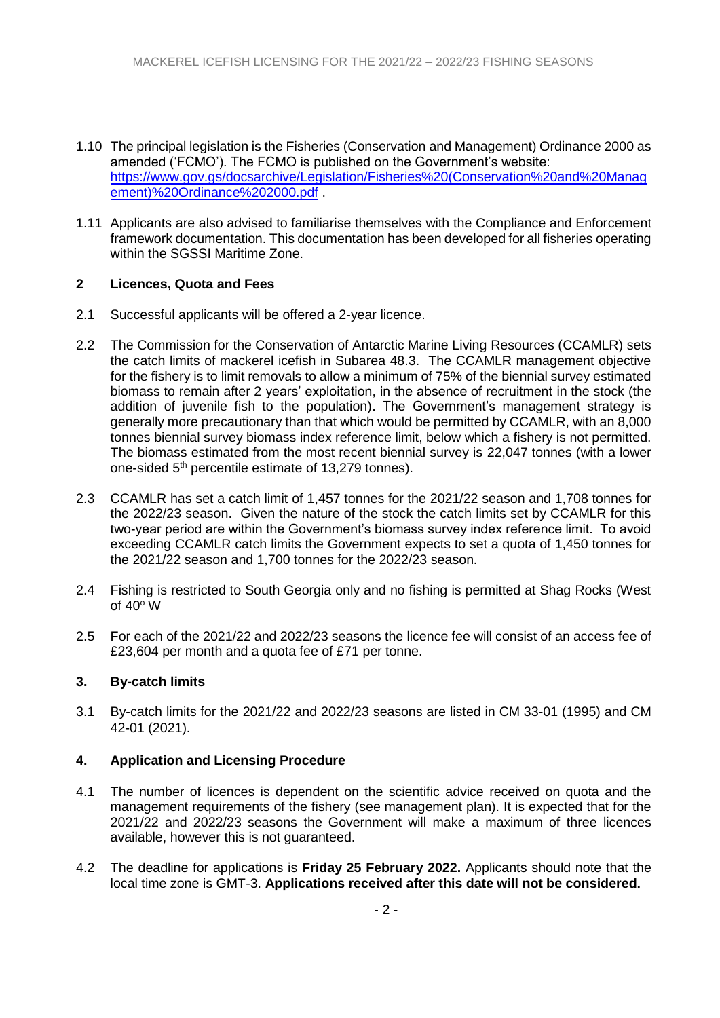- 1.10 The principal legislation is the Fisheries (Conservation and Management) Ordinance 2000 as amended ('FCMO'). The FCMO is published on the Government's website: [https://www.gov.gs/docsarchive/Legislation/Fisheries%20\(Conservation%20and%20Manag](https://www.gov.gs/docsarchive/Legislation/Fisheries%20(Conservation%20and%20Management)%20Ordinance%202000.pdf) [ement\)%20Ordinance%202000.pdf](https://www.gov.gs/docsarchive/Legislation/Fisheries%20(Conservation%20and%20Management)%20Ordinance%202000.pdf) .
- 1.11 Applicants are also advised to familiarise themselves with the Compliance and Enforcement framework documentation. This documentation has been developed for all fisheries operating within the SGSSI Maritime Zone.

### **2 Licences, Quota and Fees**

- 2.1 Successful applicants will be offered a 2-year licence.
- 2.2 The Commission for the Conservation of Antarctic Marine Living Resources (CCAMLR) sets the catch limits of mackerel icefish in Subarea 48.3. The CCAMLR management objective for the fishery is to limit removals to allow a minimum of 75% of the biennial survey estimated biomass to remain after 2 years' exploitation, in the absence of recruitment in the stock (the addition of juvenile fish to the population). The Government's management strategy is generally more precautionary than that which would be permitted by CCAMLR, with an 8,000 tonnes biennial survey biomass index reference limit, below which a fishery is not permitted. The biomass estimated from the most recent biennial survey is 22,047 tonnes (with a lower one-sided 5<sup>th</sup> percentile estimate of 13,279 tonnes).
- 2.3 CCAMLR has set a catch limit of 1,457 tonnes for the 2021/22 season and 1,708 tonnes for the 2022/23 season. Given the nature of the stock the catch limits set by CCAMLR for this two-year period are within the Government's biomass survey index reference limit. To avoid exceeding CCAMLR catch limits the Government expects to set a quota of 1,450 tonnes for the 2021/22 season and 1,700 tonnes for the 2022/23 season.
- 2.4 Fishing is restricted to South Georgia only and no fishing is permitted at Shag Rocks (West of  $40^{\circ}$  W
- 2.5 For each of the 2021/22 and 2022/23 seasons the licence fee will consist of an access fee of £23,604 per month and a quota fee of £71 per tonne.

### **3. By-catch limits**

3.1 By-catch limits for the 2021/22 and 2022/23 seasons are listed in CM 33-01 (1995) and CM 42-01 (2021).

### **4. Application and Licensing Procedure**

- 4.1 The number of licences is dependent on the scientific advice received on quota and the management requirements of the fishery (see management plan). It is expected that for the 2021/22 and 2022/23 seasons the Government will make a maximum of three licences available, however this is not guaranteed.
- 4.2 The deadline for applications is **Friday 25 February 2022.** Applicants should note that the local time zone is GMT-3. **Applications received after this date will not be considered.**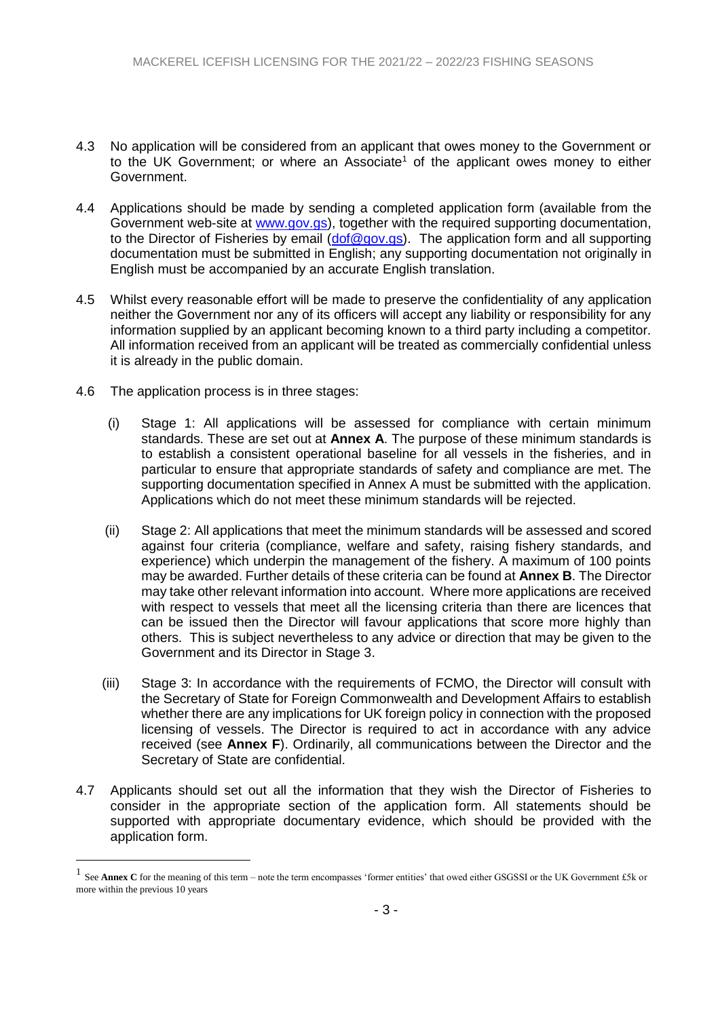- 4.3 No application will be considered from an applicant that owes money to the Government or to the UK Government; or where an Associate<sup>1</sup> of the applicant owes money to either Government.
- 4.4 Applications should be made by sending a completed application form (available from the Government web-site at [www.gov.gs\)](http://www.gov.gs/), together with the required supporting documentation, to the Director of Fisheries by email  $(dof@gov,gs)$ . The application form and all supporting documentation must be submitted in English; any supporting documentation not originally in English must be accompanied by an accurate English translation.
- 4.5 Whilst every reasonable effort will be made to preserve the confidentiality of any application neither the Government nor any of its officers will accept any liability or responsibility for any information supplied by an applicant becoming known to a third party including a competitor. All information received from an applicant will be treated as commercially confidential unless it is already in the public domain.
- 4.6 The application process is in three stages:

1

- (i) Stage 1: All applications will be assessed for compliance with certain minimum standards. These are set out at **Annex A**. The purpose of these minimum standards is to establish a consistent operational baseline for all vessels in the fisheries, and in particular to ensure that appropriate standards of safety and compliance are met. The supporting documentation specified in Annex A must be submitted with the application. Applications which do not meet these minimum standards will be rejected.
- (ii) Stage 2: All applications that meet the minimum standards will be assessed and scored against four criteria (compliance, welfare and safety, raising fishery standards, and experience) which underpin the management of the fishery. A maximum of 100 points may be awarded. Further details of these criteria can be found at **Annex B**. The Director may take other relevant information into account. Where more applications are received with respect to vessels that meet all the licensing criteria than there are licences that can be issued then the Director will favour applications that score more highly than others. This is subject nevertheless to any advice or direction that may be given to the Government and its Director in Stage 3.
- (iii) Stage 3: In accordance with the requirements of FCMO, the Director will consult with the Secretary of State for Foreign Commonwealth and Development Affairs to establish whether there are any implications for UK foreign policy in connection with the proposed licensing of vessels. The Director is required to act in accordance with any advice received (see **Annex F**). Ordinarily, all communications between the Director and the Secretary of State are confidential.
- 4.7 Applicants should set out all the information that they wish the Director of Fisheries to consider in the appropriate section of the application form. All statements should be supported with appropriate documentary evidence, which should be provided with the application form.

<sup>1</sup> See **Annex C** for the meaning of this term – note the term encompasses 'former entities' that owed either GSGSSI or the UK Government £5k or more within the previous 10 years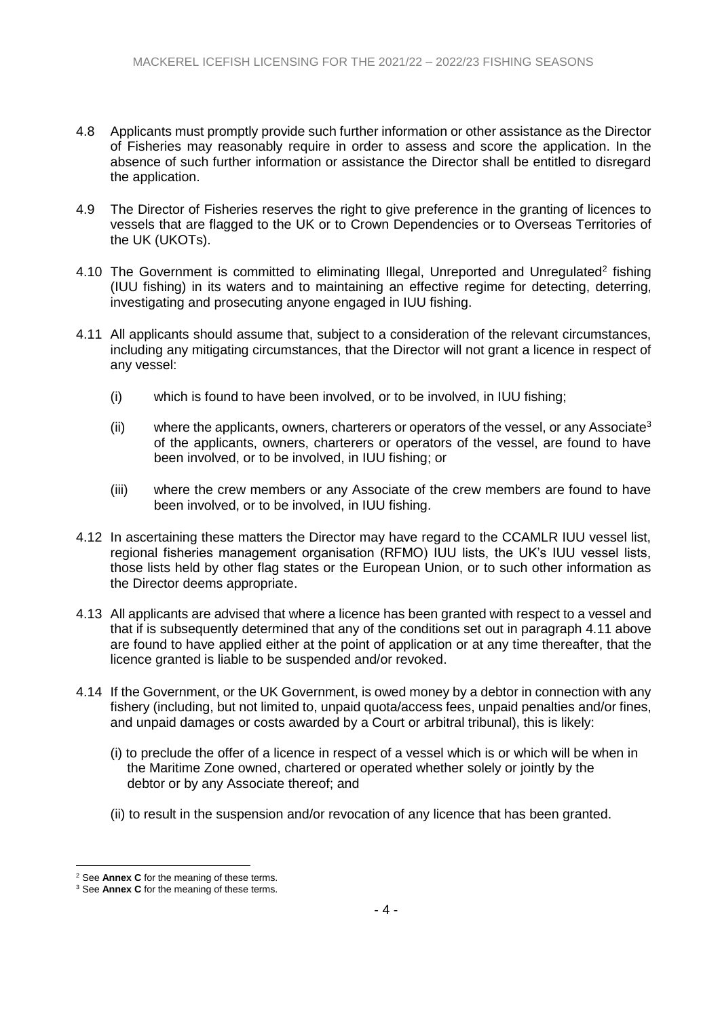- 4.8 Applicants must promptly provide such further information or other assistance as the Director of Fisheries may reasonably require in order to assess and score the application. In the absence of such further information or assistance the Director shall be entitled to disregard the application.
- 4.9 The Director of Fisheries reserves the right to give preference in the granting of licences to vessels that are flagged to the UK or to Crown Dependencies or to Overseas Territories of the UK (UKOTs).
- 4.10 The Government is committed to eliminating Illegal, Unreported and Unregulated<sup>2</sup> fishing (IUU fishing) in its waters and to maintaining an effective regime for detecting, deterring, investigating and prosecuting anyone engaged in IUU fishing.
- <span id="page-3-0"></span>4.11 All applicants should assume that, subject to a consideration of the relevant circumstances, including any mitigating circumstances, that the Director will not grant a licence in respect of any vessel:
	- (i) which is found to have been involved, or to be involved, in IUU fishing;
	- (ii) where the applicants, owners, charterers or operators of the vessel, or any Associate<sup>3</sup> of the applicants, owners, charterers or operators of the vessel, are found to have been involved, or to be involved, in IUU fishing; or
	- (iii) where the crew members or any Associate of the crew members are found to have been involved, or to be involved, in IUU fishing.
- 4.12 In ascertaining these matters the Director may have regard to the CCAMLR IUU vessel list, regional fisheries management organisation (RFMO) IUU lists, the UK's IUU vessel lists, those lists held by other flag states or the European Union, or to such other information as the Director deems appropriate.
- 4.13 All applicants are advised that where a licence has been granted with respect to a vessel and that if is subsequently determined that any of the conditions set out in paragraph [4.11 above](#page-3-0) are found to have applied either at the point of application or at any time thereafter, that the licence granted is liable to be suspended and/or revoked.
- 4.14 If the Government, or the UK Government, is owed money by a debtor in connection with any fishery (including, but not limited to, unpaid quota/access fees, unpaid penalties and/or fines, and unpaid damages or costs awarded by a Court or arbitral tribunal), this is likely:
	- (i) to preclude the offer of a licence in respect of a vessel which is or which will be when in the Maritime Zone owned, chartered or operated whether solely or jointly by the debtor or by any Associate thereof; and
	- (ii) to result in the suspension and/or revocation of any licence that has been granted.

<u>.</u>

<sup>2</sup> See **Annex C** for the meaning of these terms.

<sup>3</sup> See **Annex C** for the meaning of these terms.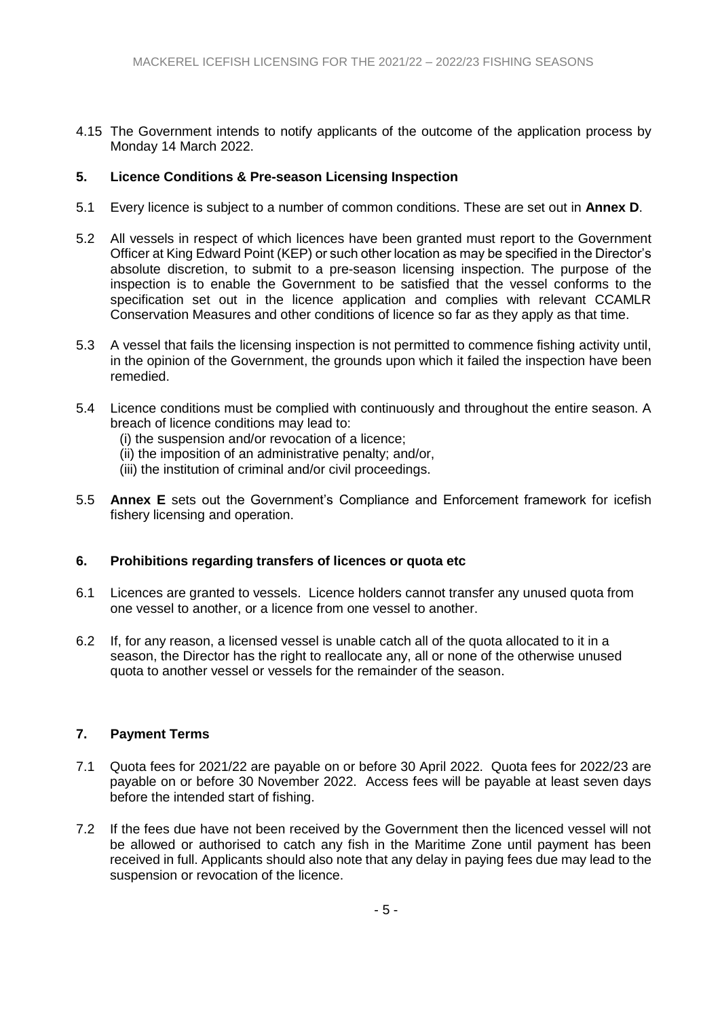4.15 The Government intends to notify applicants of the outcome of the application process by Monday 14 March 2022.

### **5. Licence Conditions & Pre-season Licensing Inspection**

- 5.1 Every licence is subject to a number of common conditions. These are set out in **Annex D**.
- 5.2 All vessels in respect of which licences have been granted must report to the Government Officer at King Edward Point (KEP) or such other location as may be specified in the Director's absolute discretion, to submit to a pre-season licensing inspection. The purpose of the inspection is to enable the Government to be satisfied that the vessel conforms to the specification set out in the licence application and complies with relevant CCAMLR Conservation Measures and other conditions of licence so far as they apply as that time.
- 5.3 A vessel that fails the licensing inspection is not permitted to commence fishing activity until, in the opinion of the Government, the grounds upon which it failed the inspection have been remedied.
- 5.4 Licence conditions must be complied with continuously and throughout the entire season. A breach of licence conditions may lead to:
	- (i) the suspension and/or revocation of a licence;
	- (ii) the imposition of an administrative penalty; and/or,
	- (iii) the institution of criminal and/or civil proceedings.
- 5.5 **Annex E** sets out the Government's Compliance and Enforcement framework for icefish fishery licensing and operation.

### **6. Prohibitions regarding transfers of licences or quota etc**

- 6.1 Licences are granted to vessels. Licence holders cannot transfer any unused quota from one vessel to another, or a licence from one vessel to another.
- 6.2 If, for any reason, a licensed vessel is unable catch all of the quota allocated to it in a season, the Director has the right to reallocate any, all or none of the otherwise unused quota to another vessel or vessels for the remainder of the season.

### **7. Payment Terms**

- 7.1 Quota fees for 2021/22 are payable on or before 30 April 2022. Quota fees for 2022/23 are payable on or before 30 November 2022. Access fees will be payable at least seven days before the intended start of fishing.
- 7.2 If the fees due have not been received by the Government then the licenced vessel will not be allowed or authorised to catch any fish in the Maritime Zone until payment has been received in full. Applicants should also note that any delay in paying fees due may lead to the suspension or revocation of the licence.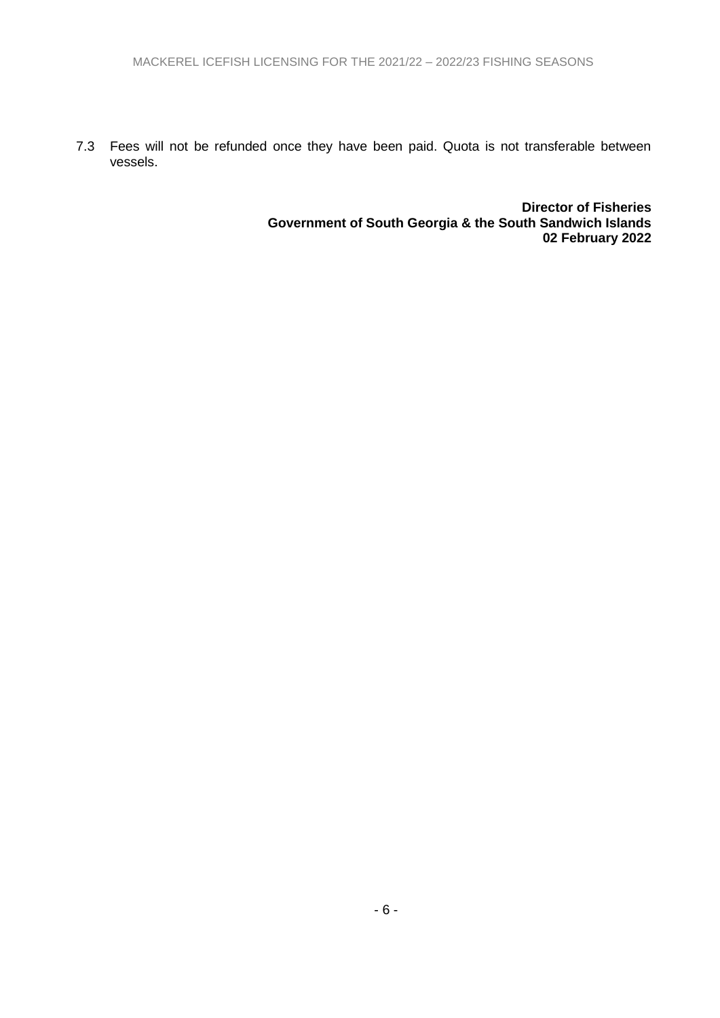7.3 Fees will not be refunded once they have been paid. Quota is not transferable between vessels.

> **Director of Fisheries Government of South Georgia & the South Sandwich Islands 02 February 2022**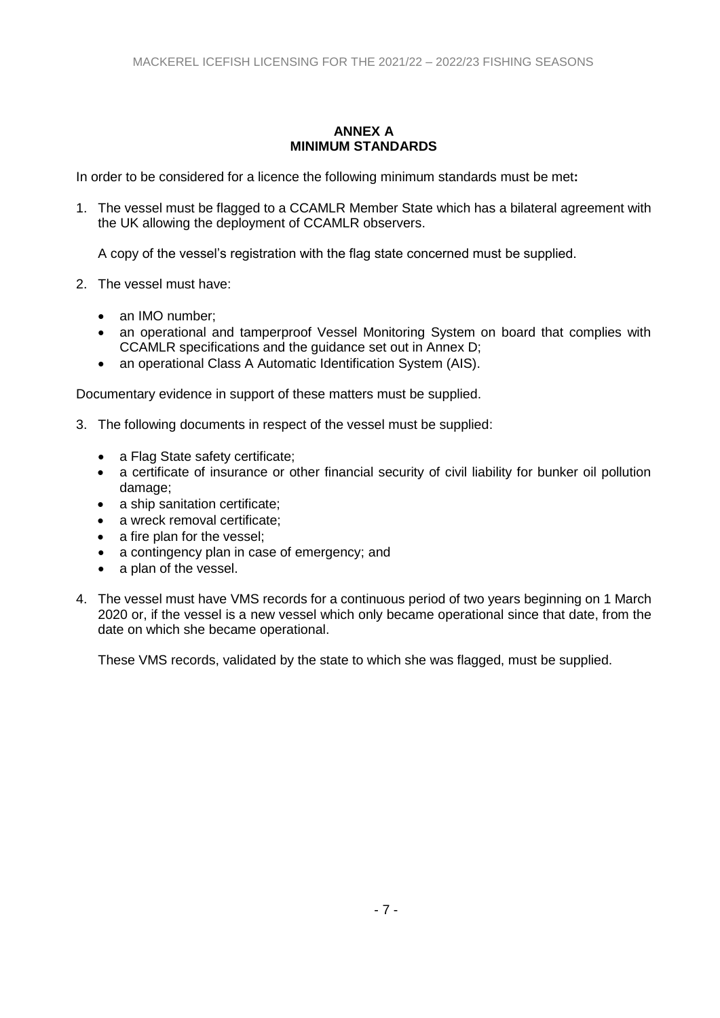### **ANNEX A MINIMUM STANDARDS**

In order to be considered for a licence the following minimum standards must be met**:**

1. The vessel must be flagged to a CCAMLR Member State which has a bilateral agreement with the UK allowing the deployment of CCAMLR observers.

A copy of the vessel's registration with the flag state concerned must be supplied.

- 2. The vessel must have:
	- an IMO number:
	- an operational and tamperproof Vessel Monitoring System on board that complies with CCAMLR specifications and the guidance set out in Annex D;
	- an operational Class A Automatic Identification System (AIS).

Documentary evidence in support of these matters must be supplied.

- 3. The following documents in respect of the vessel must be supplied:
	- a Flag State safety certificate;
	- a certificate of insurance or other financial security of civil liability for bunker oil pollution damage;
	- a ship sanitation certificate;
	- a wreck removal certificate;
	- a fire plan for the vessel:
	- a contingency plan in case of emergency; and
	- a plan of the vessel.
- 4. The vessel must have VMS records for a continuous period of two years beginning on 1 March 2020 or, if the vessel is a new vessel which only became operational since that date, from the date on which she became operational.

These VMS records, validated by the state to which she was flagged, must be supplied.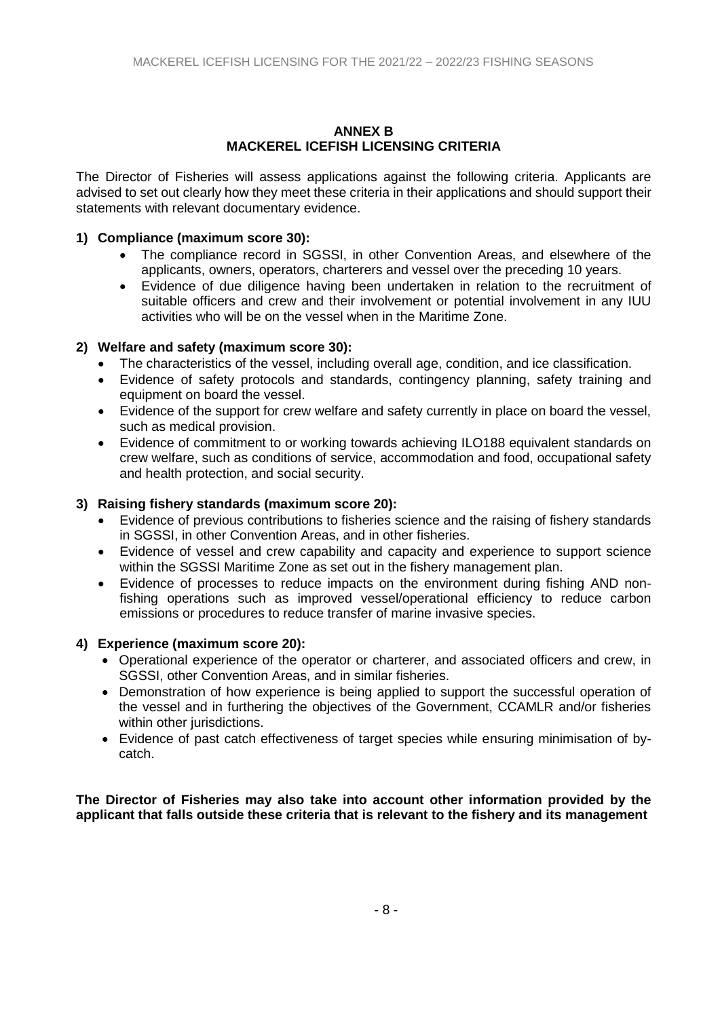#### **ANNEX B MACKEREL ICEFISH LICENSING CRITERIA**

The Director of Fisheries will assess applications against the following criteria. Applicants are advised to set out clearly how they meet these criteria in their applications and should support their statements with relevant documentary evidence.

### **1) Compliance (maximum score 30):**

- The compliance record in SGSSI, in other Convention Areas, and elsewhere of the applicants, owners, operators, charterers and vessel over the preceding 10 years.
- Evidence of due diligence having been undertaken in relation to the recruitment of suitable officers and crew and their involvement or potential involvement in any IUU activities who will be on the vessel when in the Maritime Zone.

### **2) Welfare and safety (maximum score 30):**

- The characteristics of the vessel, including overall age, condition, and ice classification.
- Evidence of safety protocols and standards, contingency planning, safety training and equipment on board the vessel.
- Evidence of the support for crew welfare and safety currently in place on board the vessel, such as medical provision.
- Evidence of commitment to or working towards achieving ILO188 equivalent standards on crew welfare, such as conditions of service, accommodation and food, occupational safety and health protection, and social security.

## **3) Raising fishery standards (maximum score 20):**

- Evidence of previous contributions to fisheries science and the raising of fishery standards in SGSSI, in other Convention Areas, and in other fisheries.
- Evidence of vessel and crew capability and capacity and experience to support science within the SGSSI Maritime Zone as set out in the fishery management plan.
- Evidence of processes to reduce impacts on the environment during fishing AND nonfishing operations such as improved vessel/operational efficiency to reduce carbon emissions or procedures to reduce transfer of marine invasive species.

### **4) Experience (maximum score 20):**

- Operational experience of the operator or charterer, and associated officers and crew, in SGSSI, other Convention Areas, and in similar fisheries.
- Demonstration of how experience is being applied to support the successful operation of the vessel and in furthering the objectives of the Government, CCAMLR and/or fisheries within other jurisdictions.
- Evidence of past catch effectiveness of target species while ensuring minimisation of bycatch.

**The Director of Fisheries may also take into account other information provided by the applicant that falls outside these criteria that is relevant to the fishery and its management**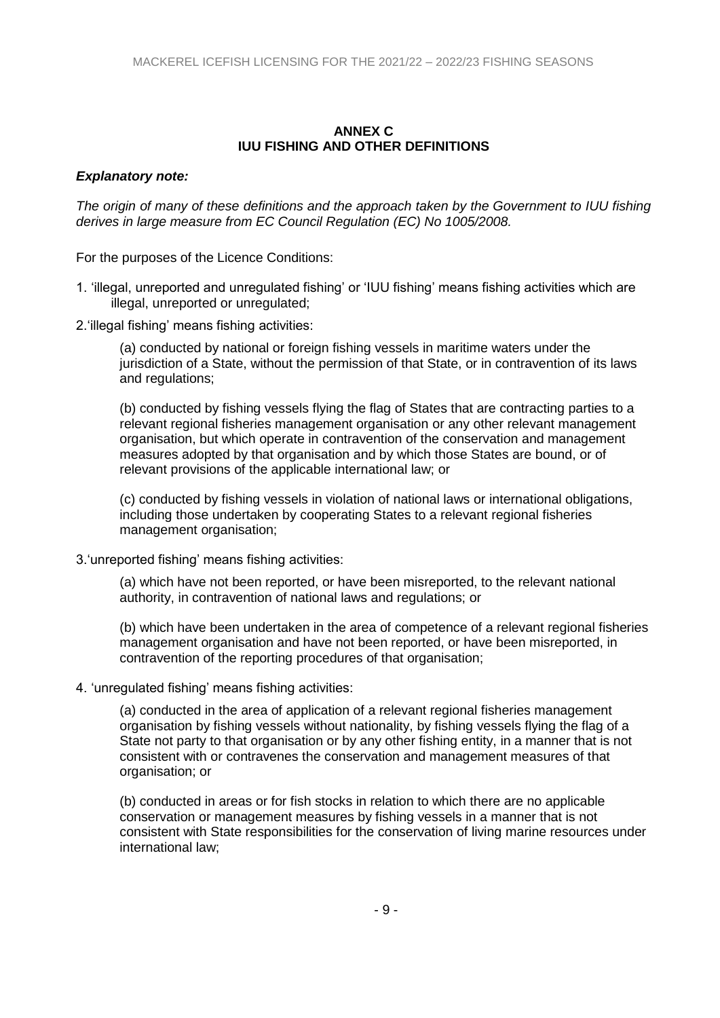#### **ANNEX C IUU FISHING AND OTHER DEFINITIONS**

#### *Explanatory note:*

*The origin of many of these definitions and the approach taken by the Government to IUU fishing derives in large measure from EC Council Regulation (EC) No 1005/2008.*

For the purposes of the Licence Conditions:

- 1. 'illegal, unreported and unregulated fishing' or 'IUU fishing' means fishing activities which are illegal, unreported or unregulated;
- 2.'illegal fishing' means fishing activities:

(a) conducted by national or foreign fishing vessels in maritime waters under the jurisdiction of a State, without the permission of that State, or in contravention of its laws and regulations;

(b) conducted by fishing vessels flying the flag of States that are contracting parties to a relevant regional fisheries management organisation or any other relevant management organisation, but which operate in contravention of the conservation and management measures adopted by that organisation and by which those States are bound, or of relevant provisions of the applicable international law; or

(c) conducted by fishing vessels in violation of national laws or international obligations, including those undertaken by cooperating States to a relevant regional fisheries management organisation;

3.'unreported fishing' means fishing activities:

(a) which have not been reported, or have been misreported, to the relevant national authority, in contravention of national laws and regulations; or

(b) which have been undertaken in the area of competence of a relevant regional fisheries management organisation and have not been reported, or have been misreported, in contravention of the reporting procedures of that organisation;

4. 'unregulated fishing' means fishing activities:

(a) conducted in the area of application of a relevant regional fisheries management organisation by fishing vessels without nationality, by fishing vessels flying the flag of a State not party to that organisation or by any other fishing entity, in a manner that is not consistent with or contravenes the conservation and management measures of that organisation; or

(b) conducted in areas or for fish stocks in relation to which there are no applicable conservation or management measures by fishing vessels in a manner that is not consistent with State responsibilities for the conservation of living marine resources under international law;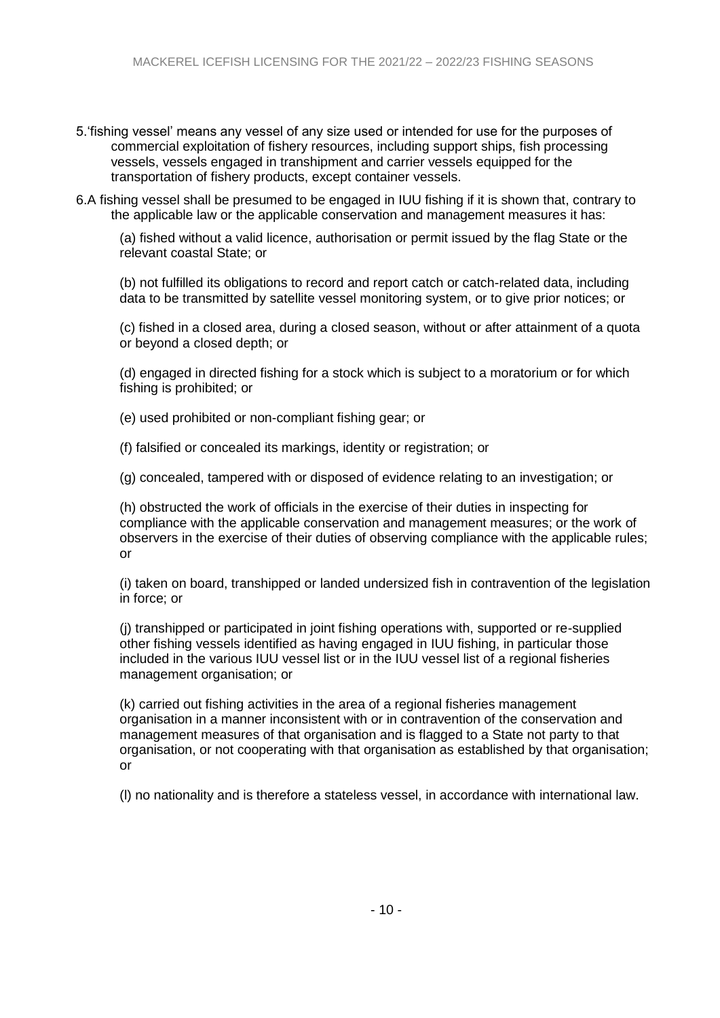- 5.'fishing vessel' means any vessel of any size used or intended for use for the purposes of commercial exploitation of fishery resources, including support ships, fish processing vessels, vessels engaged in transhipment and carrier vessels equipped for the transportation of fishery products, except container vessels.
- 6.A fishing vessel shall be presumed to be engaged in IUU fishing if it is shown that, contrary to the applicable law or the applicable conservation and management measures it has:

(a) fished without a valid licence, authorisation or permit issued by the flag State or the relevant coastal State; or

(b) not fulfilled its obligations to record and report catch or catch-related data, including data to be transmitted by satellite vessel monitoring system, or to give prior notices; or

(c) fished in a closed area, during a closed season, without or after attainment of a quota or beyond a closed depth; or

(d) engaged in directed fishing for a stock which is subject to a moratorium or for which fishing is prohibited; or

(e) used prohibited or non-compliant fishing gear; or

(f) falsified or concealed its markings, identity or registration; or

(g) concealed, tampered with or disposed of evidence relating to an investigation; or

(h) obstructed the work of officials in the exercise of their duties in inspecting for compliance with the applicable conservation and management measures; or the work of observers in the exercise of their duties of observing compliance with the applicable rules; or

(i) taken on board, transhipped or landed undersized fish in contravention of the legislation in force; or

(j) transhipped or participated in joint fishing operations with, supported or re-supplied other fishing vessels identified as having engaged in IUU fishing, in particular those included in the various IUU vessel list or in the IUU vessel list of a regional fisheries management organisation; or

(k) carried out fishing activities in the area of a regional fisheries management organisation in a manner inconsistent with or in contravention of the conservation and management measures of that organisation and is flagged to a State not party to that organisation, or not cooperating with that organisation as established by that organisation; or

(l) no nationality and is therefore a stateless vessel, in accordance with international law.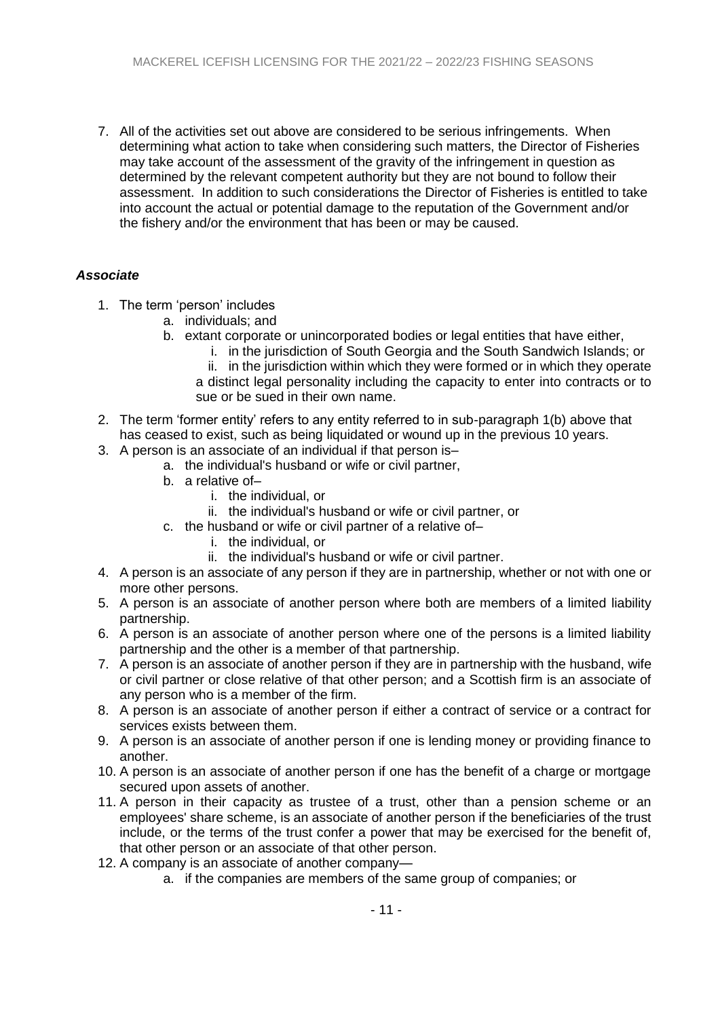7. All of the activities set out above are considered to be serious infringements. When determining what action to take when considering such matters, the Director of Fisheries may take account of the assessment of the gravity of the infringement in question as determined by the relevant competent authority but they are not bound to follow their assessment. In addition to such considerations the Director of Fisheries is entitled to take into account the actual or potential damage to the reputation of the Government and/or the fishery and/or the environment that has been or may be caused.

## *Associate*

- 1. The term 'person' includes
	- a. individuals; and
	- b. extant corporate or unincorporated bodies or legal entities that have either,
		- i. in the jurisdiction of South Georgia and the South Sandwich Islands; or
		- ii. in the jurisdiction within which they were formed or in which they operate a distinct legal personality including the capacity to enter into contracts or to sue or be sued in their own name.
- 2. The term 'former entity' refers to any entity referred to in sub-paragraph 1(b) above that has ceased to exist, such as being liquidated or wound up in the previous 10 years.
- 3. A person is an associate of an individual if that person is–
	- a. the individual's husband or wife or civil partner,
	- b. a relative of–
		- i. the individual, or
		- ii. the individual's husband or wife or civil partner, or
	- c. the husband or wife or civil partner of a relative of–
		- i. the individual, or
		- ii. the individual's husband or wife or civil partner.
- 4. A person is an associate of any person if they are in partnership, whether or not with one or more other persons.
- 5. A person is an associate of another person where both are members of a limited liability partnership.
- 6. A person is an associate of another person where one of the persons is a limited liability partnership and the other is a member of that partnership.
- 7. A person is an associate of another person if they are in partnership with the husband, wife or civil partner or close relative of that other person; and a Scottish firm is an associate of any person who is a member of the firm.
- 8. A person is an associate of another person if either a contract of service or a contract for services exists between them.
- 9. A person is an associate of another person if one is lending money or providing finance to another.
- 10. A person is an associate of another person if one has the benefit of a charge or mortgage secured upon assets of another.
- 11. A person in their capacity as trustee of a trust, other than a pension scheme or an employees' share scheme, is an associate of another person if the beneficiaries of the trust include, or the terms of the trust confer a power that may be exercised for the benefit of, that other person or an associate of that other person.
- 12. A company is an associate of another company
	- a. if the companies are members of the same group of companies; or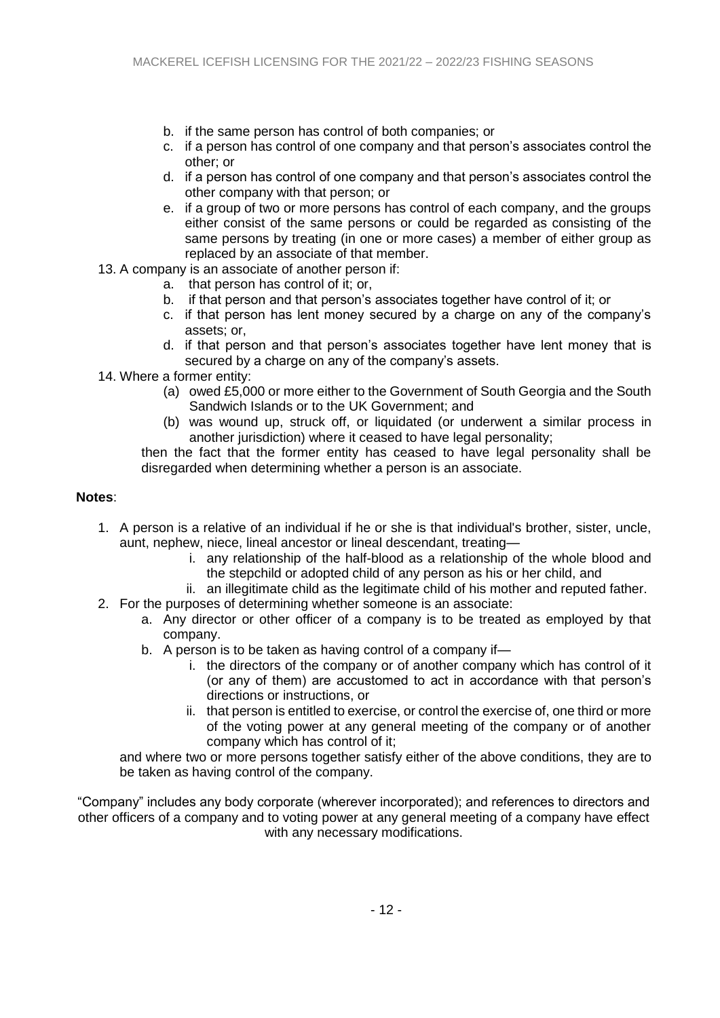- b. if the same person has control of both companies; or
- c. if a person has control of one company and that person's associates control the other; or
- d. if a person has control of one company and that person's associates control the other company with that person; or
- e. if a group of two or more persons has control of each company, and the groups either consist of the same persons or could be regarded as consisting of the same persons by treating (in one or more cases) a member of either group as replaced by an associate of that member.
- 13. A company is an associate of another person if:
	- a. that person has control of it; or,
	- b. if that person and that person's associates together have control of it; or
	- c. if that person has lent money secured by a charge on any of the company's assets; or,
	- d. if that person and that person's associates together have lent money that is secured by a charge on any of the company's assets.
- 14. Where a former entity:
	- (a) owed £5,000 or more either to the Government of South Georgia and the South Sandwich Islands or to the UK Government; and
	- (b) was wound up, struck off, or liquidated (or underwent a similar process in another jurisdiction) where it ceased to have legal personality;

then the fact that the former entity has ceased to have legal personality shall be disregarded when determining whether a person is an associate.

### **Notes**:

- 1. A person is a relative of an individual if he or she is that individual's brother, sister, uncle, aunt, nephew, niece, lineal ancestor or lineal descendant, treating
	- i. any relationship of the half-blood as a relationship of the whole blood and the stepchild or adopted child of any person as his or her child, and
	- ii. an illegitimate child as the legitimate child of his mother and reputed father.
- 2. For the purposes of determining whether someone is an associate:
	- a. Any director or other officer of a company is to be treated as employed by that company.
	- b. A person is to be taken as having control of a company if
		- i. the directors of the company or of another company which has control of it (or any of them) are accustomed to act in accordance with that person's directions or instructions, or
		- ii. that person is entitled to exercise, or control the exercise of, one third or more of the voting power at any general meeting of the company or of another company which has control of it;

and where two or more persons together satisfy either of the above conditions, they are to be taken as having control of the company.

"Company" includes any body corporate (wherever incorporated); and references to directors and other officers of a company and to voting power at any general meeting of a company have effect with any necessary modifications.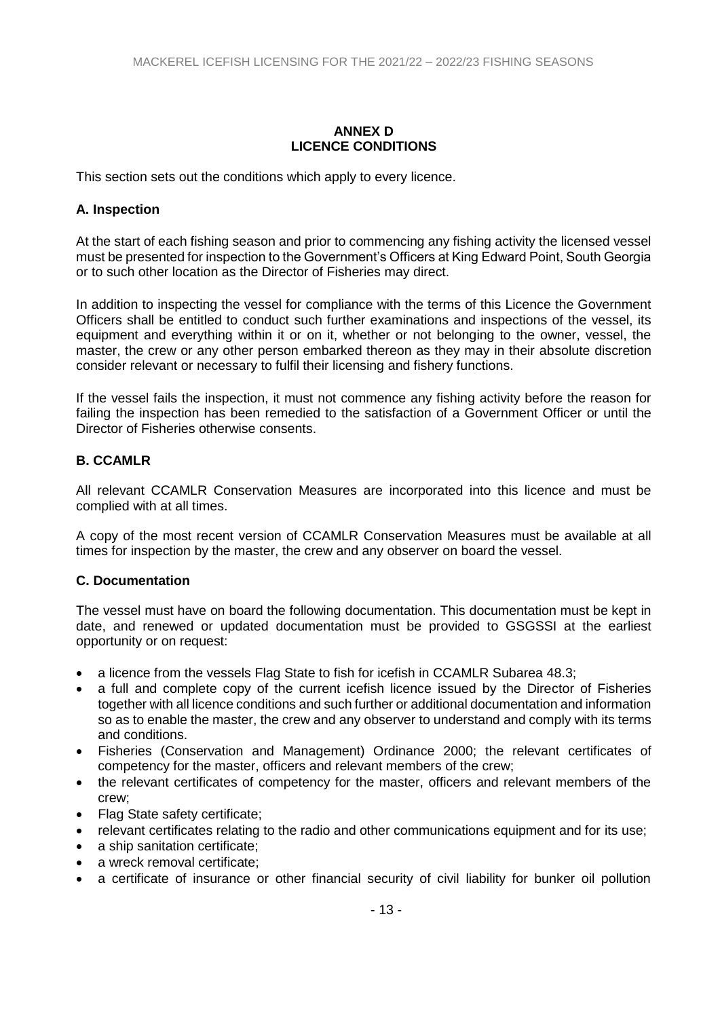### **ANNEX D LICENCE CONDITIONS**

This section sets out the conditions which apply to every licence.

# **A. Inspection**

At the start of each fishing season and prior to commencing any fishing activity the licensed vessel must be presented for inspection to the Government's Officers at King Edward Point, South Georgia or to such other location as the Director of Fisheries may direct.

In addition to inspecting the vessel for compliance with the terms of this Licence the Government Officers shall be entitled to conduct such further examinations and inspections of the vessel, its equipment and everything within it or on it, whether or not belonging to the owner, vessel, the master, the crew or any other person embarked thereon as they may in their absolute discretion consider relevant or necessary to fulfil their licensing and fishery functions.

If the vessel fails the inspection, it must not commence any fishing activity before the reason for failing the inspection has been remedied to the satisfaction of a Government Officer or until the Director of Fisheries otherwise consents.

# **B. CCAMLR**

All relevant CCAMLR Conservation Measures are incorporated into this licence and must be complied with at all times.

A copy of the most recent version of CCAMLR Conservation Measures must be available at all times for inspection by the master, the crew and any observer on board the vessel.

### **C. Documentation**

The vessel must have on board the following documentation. This documentation must be kept in date, and renewed or updated documentation must be provided to GSGSSI at the earliest opportunity or on request:

- a licence from the vessels Flag State to fish for icefish in CCAMLR Subarea 48.3;
- a full and complete copy of the current icefish licence issued by the Director of Fisheries together with all licence conditions and such further or additional documentation and information so as to enable the master, the crew and any observer to understand and comply with its terms and conditions.
- Fisheries (Conservation and Management) Ordinance 2000; the relevant certificates of competency for the master, officers and relevant members of the crew;
- the relevant certificates of competency for the master, officers and relevant members of the crew;
- Flag State safety certificate;
- relevant certificates relating to the radio and other communications equipment and for its use;
- a ship sanitation certificate;
- a wreck removal certificate;
- a certificate of insurance or other financial security of civil liability for bunker oil pollution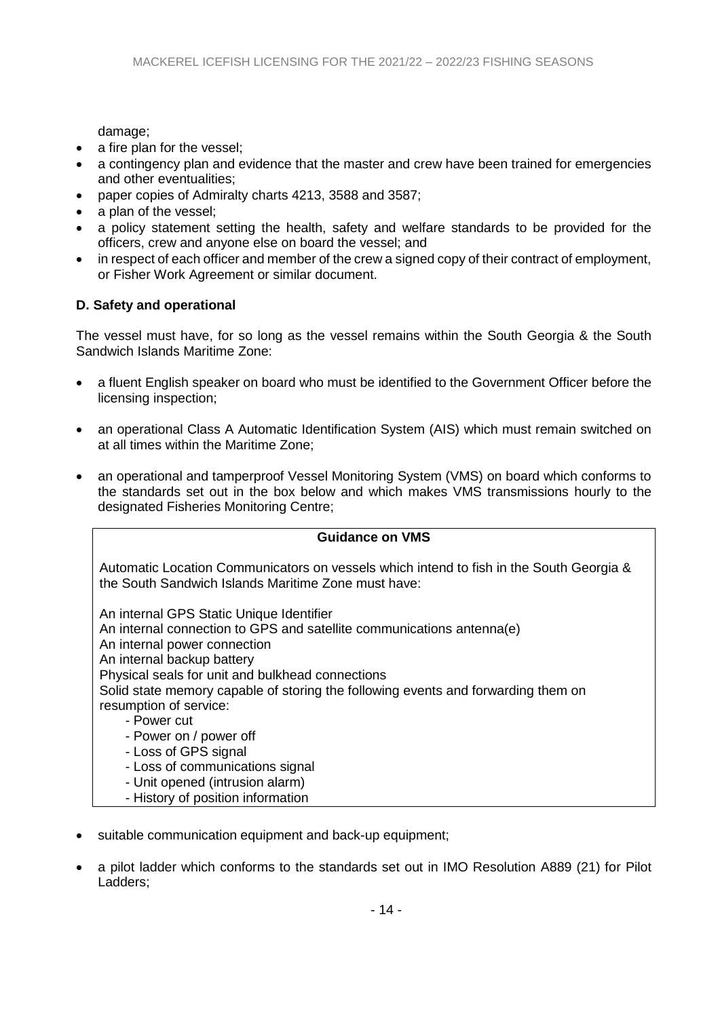damage;

- a fire plan for the vessel;
- a contingency plan and evidence that the master and crew have been trained for emergencies and other eventualities;
- paper copies of Admiralty charts 4213, 3588 and 3587;
- a plan of the vessel;
- a policy statement setting the health, safety and welfare standards to be provided for the officers, crew and anyone else on board the vessel; and
- in respect of each officer and member of the crew a signed copy of their contract of employment, or Fisher Work Agreement or similar document.

# **D. Safety and operational**

The vessel must have, for so long as the vessel remains within the South Georgia & the South Sandwich Islands Maritime Zone:

- a fluent English speaker on board who must be identified to the Government Officer before the licensing inspection;
- an operational Class A Automatic Identification System (AIS) which must remain switched on at all times within the Maritime Zone;
- an operational and tamperproof Vessel Monitoring System (VMS) on board which conforms to the standards set out in the box below and which makes VMS transmissions hourly to the designated Fisheries Monitoring Centre;

| <b>Guidance on VMS</b>                                                                                                                                                                                                                                                                                                                                                                                                                                 |
|--------------------------------------------------------------------------------------------------------------------------------------------------------------------------------------------------------------------------------------------------------------------------------------------------------------------------------------------------------------------------------------------------------------------------------------------------------|
| Automatic Location Communicators on vessels which intend to fish in the South Georgia &<br>the South Sandwich Islands Maritime Zone must have:                                                                                                                                                                                                                                                                                                         |
| An internal GPS Static Unique Identifier<br>An internal connection to GPS and satellite communications antenna(e)<br>An internal power connection<br>An internal backup battery<br>Physical seals for unit and bulkhead connections<br>Solid state memory capable of storing the following events and forwarding them on<br>resumption of service:<br>- Power cut<br>- Power on / power off<br>- Loss of GPS signal<br>- Loss of communications signal |

- Unit opened (intrusion alarm)
- History of position information
- suitable communication equipment and back-up equipment;
- a pilot ladder which conforms to the standards set out in IMO Resolution A889 (21) for Pilot Ladders;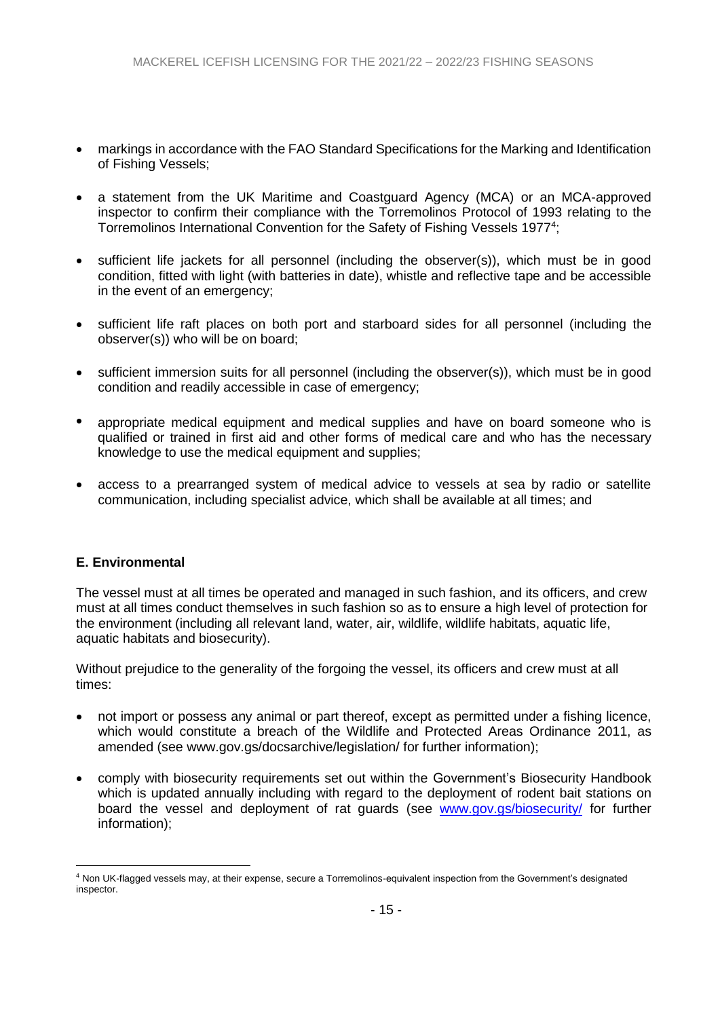- markings in accordance with the FAO Standard Specifications for the Marking and Identification of Fishing Vessels;
- a statement from the UK Maritime and Coastguard Agency (MCA) or an MCA-approved inspector to confirm their compliance with the Torremolinos Protocol of 1993 relating to the Torremolinos International Convention for the Safety of Fishing Vessels 1977<sup>4</sup>;
- sufficient life jackets for all personnel (including the observer(s)), which must be in good condition, fitted with light (with batteries in date), whistle and reflective tape and be accessible in the event of an emergency;
- sufficient life raft places on both port and starboard sides for all personnel (including the observer(s)) who will be on board;
- sufficient immersion suits for all personnel (including the observer(s)), which must be in good condition and readily accessible in case of emergency;
- appropriate medical equipment and medical supplies and have on board someone who is qualified or trained in first aid and other forms of medical care and who has the necessary knowledge to use the medical equipment and supplies;
- access to a prearranged system of medical advice to vessels at sea by radio or satellite communication, including specialist advice, which shall be available at all times; and

### **E. Environmental**

<u>.</u>

The vessel must at all times be operated and managed in such fashion, and its officers, and crew must at all times conduct themselves in such fashion so as to ensure a high level of protection for the environment (including all relevant land, water, air, wildlife, wildlife habitats, aquatic life, aquatic habitats and biosecurity).

Without prejudice to the generality of the forgoing the vessel, its officers and crew must at all times:

- not import or possess any animal or part thereof, except as permitted under a fishing licence, which would constitute a breach of the Wildlife and Protected Areas Ordinance 2011, as amended (see www.gov.gs/docsarchive/legislation/ for further information);
- comply with biosecurity requirements set out within the Government's Biosecurity Handbook which is updated annually including with regard to the deployment of rodent bait stations on board the vessel and deployment of rat guards (see [www.gov.gs/biosecurity/](http://www.gov.gs/biosecurity/) for further information);

<sup>4</sup> Non UK-flagged vessels may, at their expense, secure a Torremolinos-equivalent inspection from the Government's designated inspector.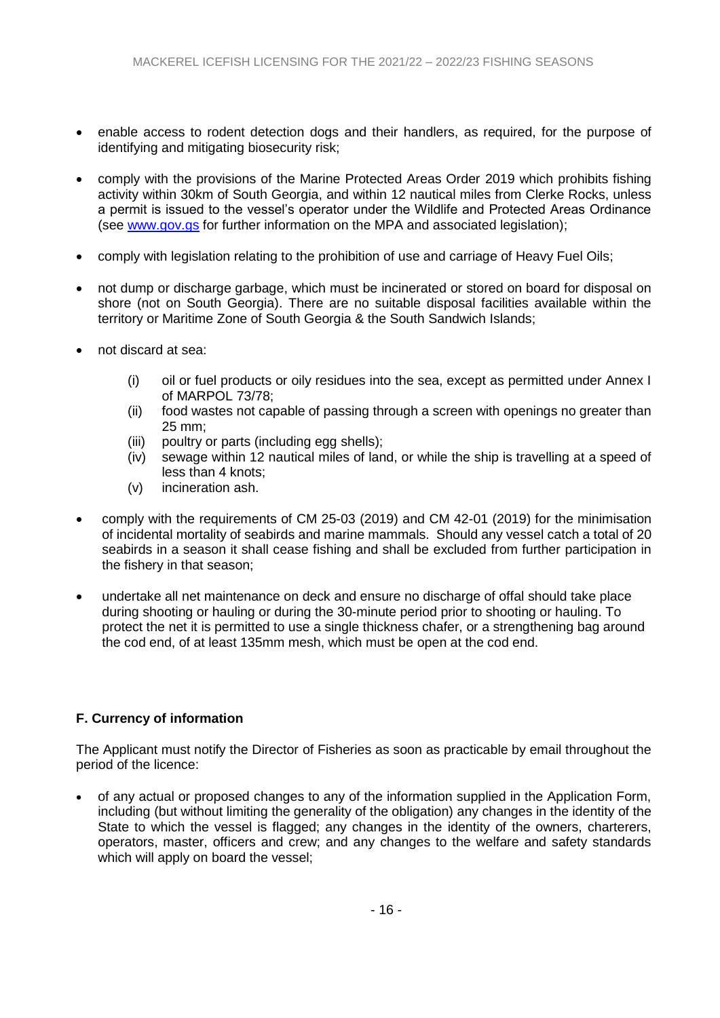- enable access to rodent detection dogs and their handlers, as required, for the purpose of identifying and mitigating biosecurity risk;
- comply with the provisions of the Marine Protected Areas Order 2019 which prohibits fishing activity within 30km of South Georgia, and within 12 nautical miles from Clerke Rocks, unless a permit is issued to the vessel's operator under the Wildlife and Protected Areas Ordinance (see [www.gov.gs](http://www.gov.gs/) for further information on the MPA and associated legislation);
- comply with legislation relating to the prohibition of use and carriage of Heavy Fuel Oils;
- not dump or discharge garbage, which must be incinerated or stored on board for disposal on shore (not on South Georgia). There are no suitable disposal facilities available within the territory or Maritime Zone of South Georgia & the South Sandwich Islands;
- not discard at sea:
	- (i) oil or fuel products or oily residues into the sea, except as permitted under Annex I of MARPOL 73/78;
	- (ii) food wastes not capable of passing through a screen with openings no greater than 25 mm;
	- (iii) poultry or parts (including egg shells);
	- (iv) sewage within 12 nautical miles of land, or while the ship is travelling at a speed of less than 4 knots;
	- (v) incineration ash.
- comply with the requirements of CM 25-03 (2019) and CM 42-01 (2019) for the minimisation of incidental mortality of seabirds and marine mammals. Should any vessel catch a total of 20 seabirds in a season it shall cease fishing and shall be excluded from further participation in the fishery in that season;
- undertake all net maintenance on deck and ensure no discharge of offal should take place during shooting or hauling or during the 30-minute period prior to shooting or hauling. To protect the net it is permitted to use a single thickness chafer, or a strengthening bag around the cod end, of at least 135mm mesh, which must be open at the cod end.

# **F. Currency of information**

The Applicant must notify the Director of Fisheries as soon as practicable by email throughout the period of the licence:

 of any actual or proposed changes to any of the information supplied in the Application Form, including (but without limiting the generality of the obligation) any changes in the identity of the State to which the vessel is flagged; any changes in the identity of the owners, charterers, operators, master, officers and crew; and any changes to the welfare and safety standards which will apply on board the vessel;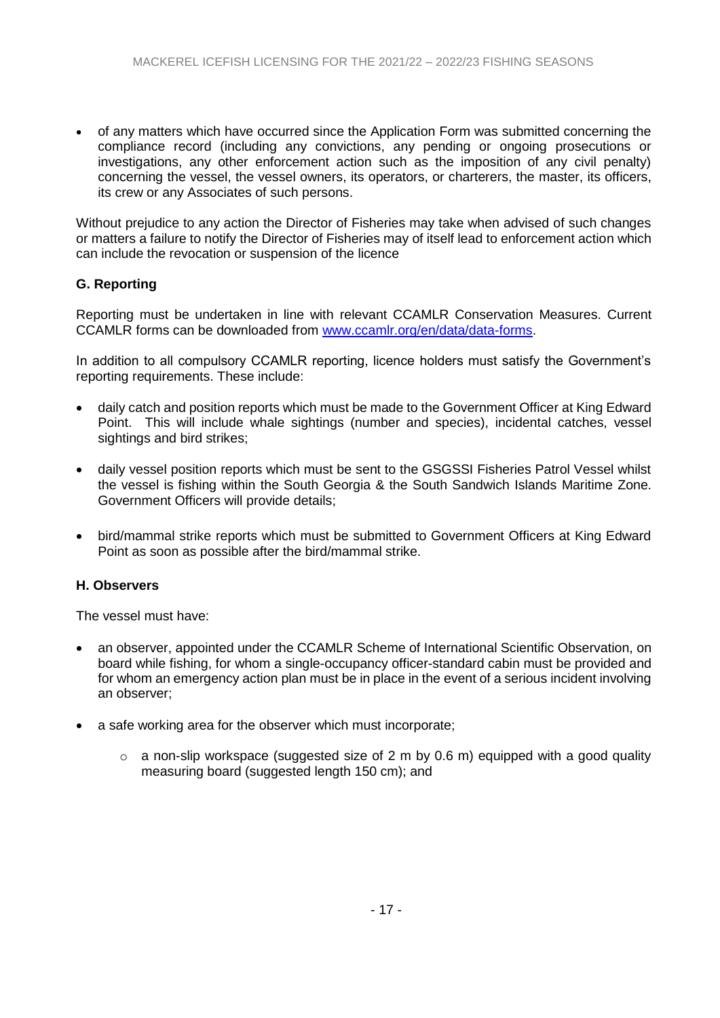of any matters which have occurred since the Application Form was submitted concerning the compliance record (including any convictions, any pending or ongoing prosecutions or investigations, any other enforcement action such as the imposition of any civil penalty) concerning the vessel, the vessel owners, its operators, or charterers, the master, its officers, its crew or any Associates of such persons.

Without prejudice to any action the Director of Fisheries may take when advised of such changes or matters a failure to notify the Director of Fisheries may of itself lead to enforcement action which can include the revocation or suspension of the licence

# **G. Reporting**

Reporting must be undertaken in line with relevant CCAMLR Conservation Measures. Current CCAMLR forms can be downloaded from [www.ccamlr.org/en/data/data-forms.](http://www.ccamlr.org/en/data/data-forms)

In addition to all compulsory CCAMLR reporting, licence holders must satisfy the Government's reporting requirements. These include:

- daily catch and position reports which must be made to the Government Officer at King Edward Point. This will include whale sightings (number and species), incidental catches, vessel sightings and bird strikes;
- daily vessel position reports which must be sent to the GSGSSI Fisheries Patrol Vessel whilst the vessel is fishing within the South Georgia & the South Sandwich Islands Maritime Zone. Government Officers will provide details;
- bird/mammal strike reports which must be submitted to Government Officers at King Edward Point as soon as possible after the bird/mammal strike.

# **H. Observers**

The vessel must have:

- an observer, appointed under the CCAMLR Scheme of International Scientific Observation, on board while fishing, for whom a single-occupancy officer-standard cabin must be provided and for whom an emergency action plan must be in place in the event of a serious incident involving an observer;
- a safe working area for the observer which must incorporate;
	- $\circ$  a non-slip workspace (suggested size of 2 m by 0.6 m) equipped with a good quality measuring board (suggested length 150 cm); and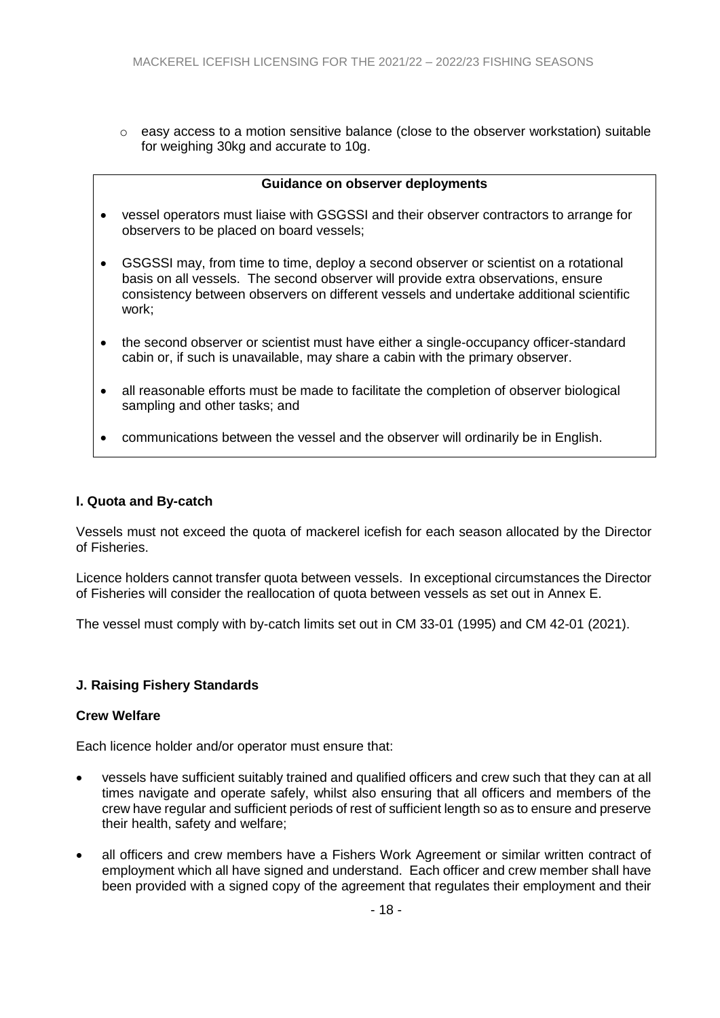$\circ$  easy access to a motion sensitive balance (close to the observer workstation) suitable for weighing 30kg and accurate to 10g.

#### **Guidance on observer deployments**

- vessel operators must liaise with GSGSSI and their observer contractors to arrange for observers to be placed on board vessels;
- GSGSSI may, from time to time, deploy a second observer or scientist on a rotational basis on all vessels. The second observer will provide extra observations, ensure consistency between observers on different vessels and undertake additional scientific work;
- the second observer or scientist must have either a single-occupancy officer-standard cabin or, if such is unavailable, may share a cabin with the primary observer.
- all reasonable efforts must be made to facilitate the completion of observer biological sampling and other tasks; and
- communications between the vessel and the observer will ordinarily be in English.

#### **I. Quota and By-catch**

Vessels must not exceed the quota of mackerel icefish for each season allocated by the Director of Fisheries.

Licence holders cannot transfer quota between vessels. In exceptional circumstances the Director of Fisheries will consider the reallocation of quota between vessels as set out in Annex E.

The vessel must comply with by-catch limits set out in CM 33-01 (1995) and CM 42-01 (2021).

### **J. Raising Fishery Standards**

#### **Crew Welfare**

Each licence holder and/or operator must ensure that:

- vessels have sufficient suitably trained and qualified officers and crew such that they can at all times navigate and operate safely, whilst also ensuring that all officers and members of the crew have regular and sufficient periods of rest of sufficient length so as to ensure and preserve their health, safety and welfare;
- all officers and crew members have a Fishers Work Agreement or similar written contract of employment which all have signed and understand. Each officer and crew member shall have been provided with a signed copy of the agreement that regulates their employment and their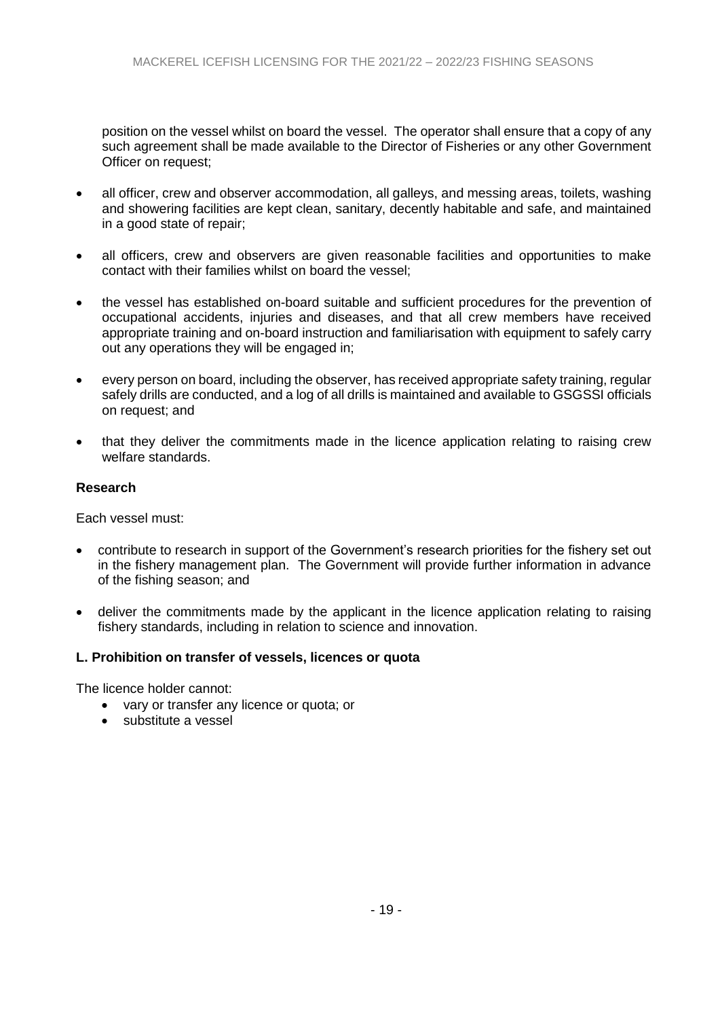position on the vessel whilst on board the vessel. The operator shall ensure that a copy of any such agreement shall be made available to the Director of Fisheries or any other Government Officer on request;

- all officer, crew and observer accommodation, all galleys, and messing areas, toilets, washing and showering facilities are kept clean, sanitary, decently habitable and safe, and maintained in a good state of repair;
- all officers, crew and observers are given reasonable facilities and opportunities to make contact with their families whilst on board the vessel;
- the vessel has established on-board suitable and sufficient procedures for the prevention of occupational accidents, injuries and diseases, and that all crew members have received appropriate training and on-board instruction and familiarisation with equipment to safely carry out any operations they will be engaged in;
- every person on board, including the observer, has received appropriate safety training, regular safely drills are conducted, and a log of all drills is maintained and available to GSGSSI officials on request; and
- that they deliver the commitments made in the licence application relating to raising crew welfare standards.

#### **Research**

Each vessel must:

- contribute to research in support of the Government's research priorities for the fishery set out in the fishery management plan. The Government will provide further information in advance of the fishing season; and
- deliver the commitments made by the applicant in the licence application relating to raising fishery standards, including in relation to science and innovation.

### **L. Prohibition on transfer of vessels, licences or quota**

The licence holder cannot:

- vary or transfer any licence or quota; or
- substitute a vessel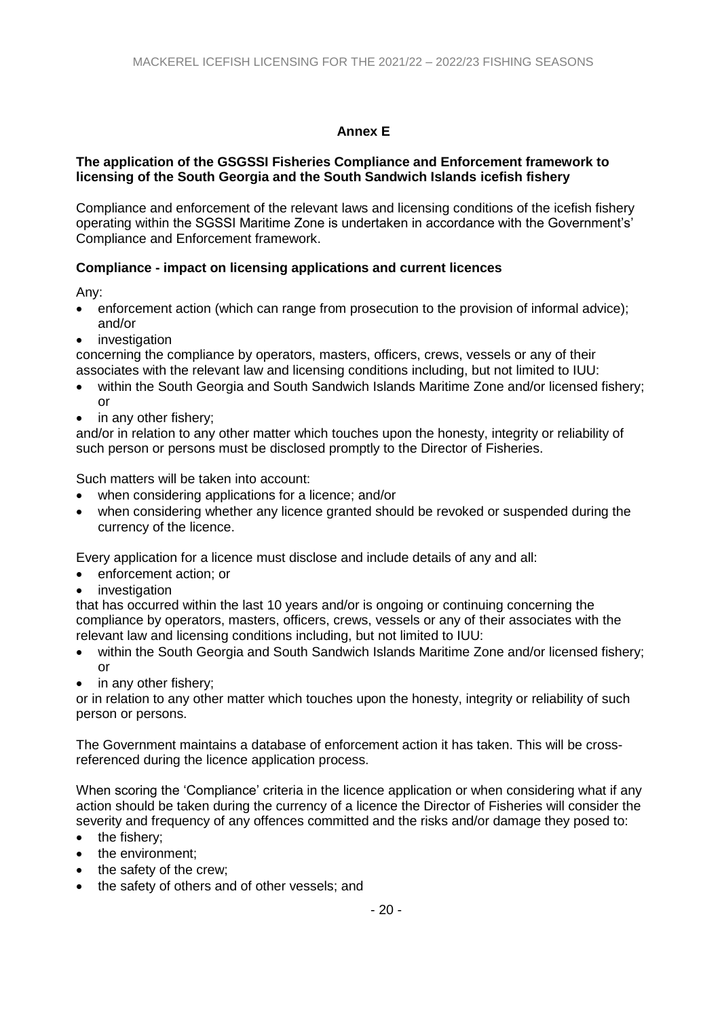# **Annex E**

#### **The application of the GSGSSI Fisheries Compliance and Enforcement framework to licensing of the South Georgia and the South Sandwich Islands icefish fishery**

Compliance and enforcement of the relevant laws and licensing conditions of the icefish fishery operating within the SGSSI Maritime Zone is undertaken in accordance with the Government's' Compliance and Enforcement framework.

## **Compliance - impact on licensing applications and current licences**

Any:

- enforcement action (which can range from prosecution to the provision of informal advice); and/or
- **•** investigation

concerning the compliance by operators, masters, officers, crews, vessels or any of their associates with the relevant law and licensing conditions including, but not limited to IUU:

- within the South Georgia and South Sandwich Islands Maritime Zone and/or licensed fishery; or
- in any other fishery;

and/or in relation to any other matter which touches upon the honesty, integrity or reliability of such person or persons must be disclosed promptly to the Director of Fisheries.

Such matters will be taken into account:

- when considering applications for a licence; and/or
- when considering whether any licence granted should be revoked or suspended during the currency of the licence.

Every application for a licence must disclose and include details of any and all:

- enforcement action; or
- investigation

that has occurred within the last 10 years and/or is ongoing or continuing concerning the compliance by operators, masters, officers, crews, vessels or any of their associates with the relevant law and licensing conditions including, but not limited to IUU:

- within the South Georgia and South Sandwich Islands Maritime Zone and/or licensed fishery; or
- in any other fishery;

or in relation to any other matter which touches upon the honesty, integrity or reliability of such person or persons.

The Government maintains a database of enforcement action it has taken. This will be crossreferenced during the licence application process.

When scoring the 'Compliance' criteria in the licence application or when considering what if any action should be taken during the currency of a licence the Director of Fisheries will consider the severity and frequency of any offences committed and the risks and/or damage they posed to:

- the fishery;
- the environment;
- the safety of the crew;
- the safety of others and of other vessels; and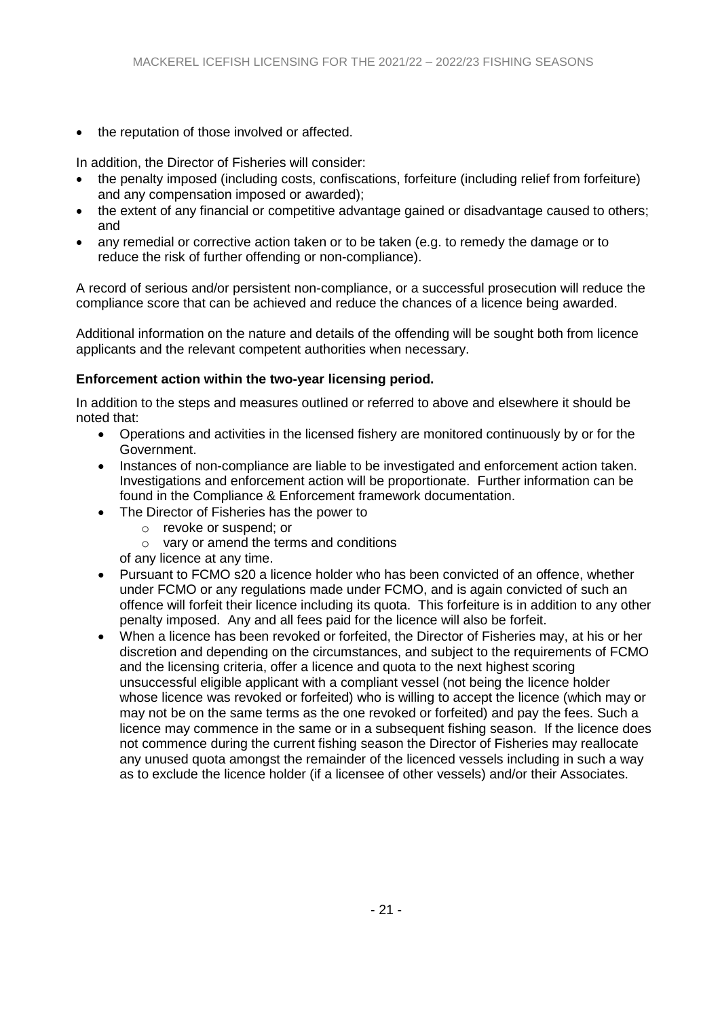• the reputation of those involved or affected.

In addition, the Director of Fisheries will consider:

- the penalty imposed (including costs, confiscations, forfeiture (including relief from forfeiture) and any compensation imposed or awarded);
- the extent of any financial or competitive advantage gained or disadvantage caused to others; and
- any remedial or corrective action taken or to be taken (e.g. to remedy the damage or to reduce the risk of further offending or non-compliance).

A record of serious and/or persistent non-compliance, or a successful prosecution will reduce the compliance score that can be achieved and reduce the chances of a licence being awarded.

Additional information on the nature and details of the offending will be sought both from licence applicants and the relevant competent authorities when necessary.

### **Enforcement action within the two-year licensing period.**

In addition to the steps and measures outlined or referred to above and elsewhere it should be noted that:

- Operations and activities in the licensed fishery are monitored continuously by or for the Government.
- Instances of non-compliance are liable to be investigated and enforcement action taken. Investigations and enforcement action will be proportionate. Further information can be found in the Compliance & Enforcement framework documentation.
- The Director of Fisheries has the power to
	- o revoke or suspend; or
	- o vary or amend the terms and conditions

of any licence at any time.

- Pursuant to FCMO s20 a licence holder who has been convicted of an offence, whether under FCMO or any regulations made under FCMO, and is again convicted of such an offence will forfeit their licence including its quota. This forfeiture is in addition to any other penalty imposed. Any and all fees paid for the licence will also be forfeit.
- When a licence has been revoked or forfeited, the Director of Fisheries may, at his or her discretion and depending on the circumstances, and subject to the requirements of FCMO and the licensing criteria, offer a licence and quota to the next highest scoring unsuccessful eligible applicant with a compliant vessel (not being the licence holder whose licence was revoked or forfeited) who is willing to accept the licence (which may or may not be on the same terms as the one revoked or forfeited) and pay the fees. Such a licence may commence in the same or in a subsequent fishing season. If the licence does not commence during the current fishing season the Director of Fisheries may reallocate any unused quota amongst the remainder of the licenced vessels including in such a way as to exclude the licence holder (if a licensee of other vessels) and/or their Associates.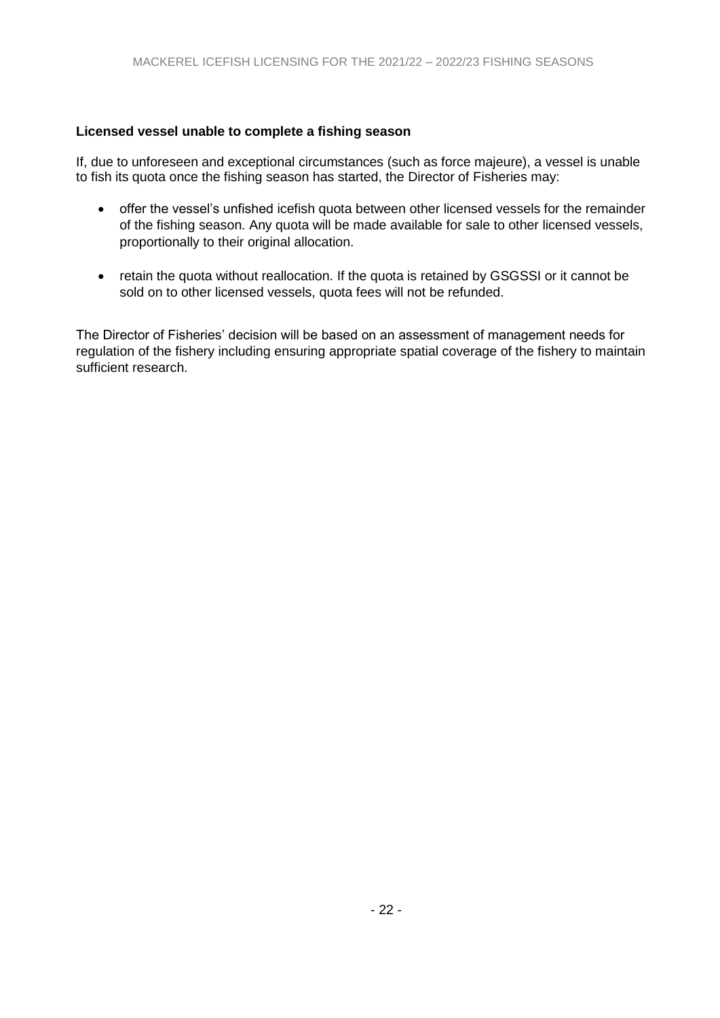## **Licensed vessel unable to complete a fishing season**

If, due to unforeseen and exceptional circumstances (such as force majeure), a vessel is unable to fish its quota once the fishing season has started, the Director of Fisheries may:

- offer the vessel's unfished icefish quota between other licensed vessels for the remainder of the fishing season. Any quota will be made available for sale to other licensed vessels, proportionally to their original allocation.
- retain the quota without reallocation. If the quota is retained by GSGSSI or it cannot be sold on to other licensed vessels, quota fees will not be refunded.

The Director of Fisheries' decision will be based on an assessment of management needs for regulation of the fishery including ensuring appropriate spatial coverage of the fishery to maintain sufficient research.